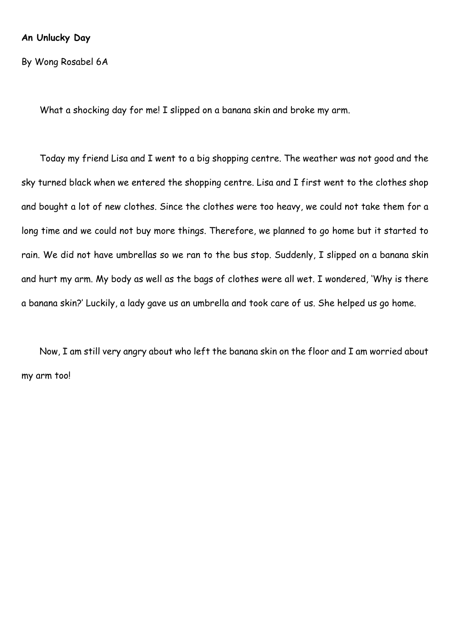#### **An Unlucky Day**

By Wong Rosabel 6A

What a shocking day for me! I slipped on a banana skin and broke my arm.

Today my friend Lisa and I went to a big shopping centre. The weather was not good and the sky turned black when we entered the shopping centre. Lisa and I first went to the clothes shop and bought a lot of new clothes. Since the clothes were too heavy, we could not take them for a long time and we could not buy more things. Therefore, we planned to go home but it started to rain. We did not have umbrellas so we ran to the bus stop. Suddenly, I slipped on a banana skin and hurt my arm. My body as well as the bags of clothes were all wet. I wondered, 'Why is there a banana skin?' Luckily, a lady gave us an umbrella and took care of us. She helped us go home.

Now, I am still very angry about who left the banana skin on the floor and I am worried about my arm too!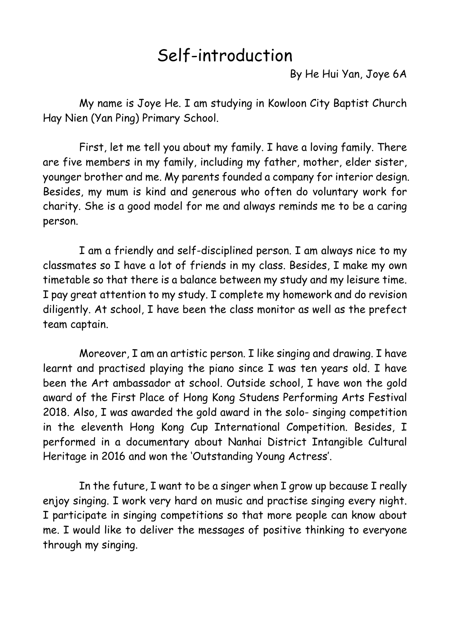# Self-introduction

By He Hui Yan, Joye 6A

My name is Joye He. I am studying in Kowloon City Baptist Church Hay Nien (Yan Ping) Primary School.

First, let me tell you about my family. I have a loving family. There are five members in my family, including my father, mother, elder sister, younger brother and me. My parents founded a company for interior design. Besides, my mum is kind and generous who often do voluntary work for charity. She is a good model for me and always reminds me to be a caring person.

I am a friendly and self-disciplined person. I am always nice to my classmates so I have a lot of friends in my class. Besides, I make my own timetable so that there is a balance between my study and my leisure time. I pay great attention to my study. I complete my homework and do revision diligently. At school, I have been the class monitor as well as the prefect team captain.

Moreover, I am an artistic person. I like singing and drawing. I have learnt and practised playing the piano since I was ten years old. I have been the Art ambassador at school. Outside school, I have won the gold award of the First Place of Hong Kong Studens Performing Arts Festival 2018. Also, I was awarded the gold award in the solo- singing competition in the eleventh Hong Kong Cup International Competition. Besides, I performed in a documentary about Nanhai District Intangible Cultural Heritage in 2016 and won the 'Outstanding Young Actress'.

In the future, I want to be a singer when I grow up because I really enjoy singing. I work very hard on music and practise singing every night. I participate in singing competitions so that more people can know about me. I would like to deliver the messages of positive thinking to everyone through my singing.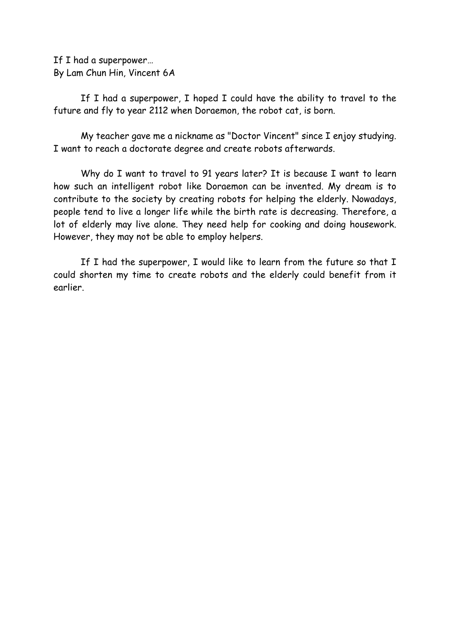If I had a superpower… By Lam Chun Hin, Vincent 6A

If I had a superpower, I hoped I could have the ability to travel to the future and fly to year 2112 when Doraemon, the robot cat, is born.

My teacher gave me a nickname as "Doctor Vincent" since I enjoy studying. I want to reach a doctorate degree and create robots afterwards.

Why do I want to travel to 91 years later? It is because I want to learn how such an intelligent robot like Doraemon can be invented. My dream is to contribute to the society by creating robots for helping the elderly. Nowadays, people tend to live a longer life while the birth rate is decreasing. Therefore, a lot of elderly may live alone. They need help for cooking and doing housework. However, they may not be able to employ helpers.

If I had the superpower, I would like to learn from the future so that I could shorten my time to create robots and the elderly could benefit from it earlier.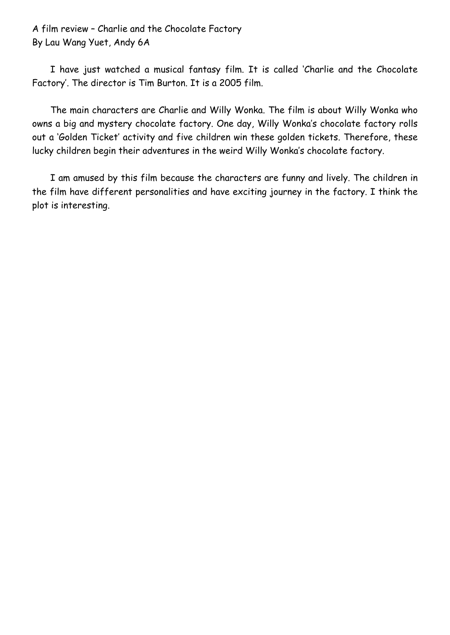A film review – Charlie and the Chocolate Factory By Lau Wang Yuet, Andy 6A

I have just watched a musical fantasy film. It is called 'Charlie and the Chocolate Factory'. The director is Tim Burton. It is a 2005 film.

The main characters are Charlie and Willy Wonka. The film is about Willy Wonka who owns a big and mystery chocolate factory. One day, Willy Wonka's chocolate factory rolls out a 'Golden Ticket' activity and five children win these golden tickets. Therefore, these lucky children begin their adventures in the weird Willy Wonka's chocolate factory.

I am amused by this film because the characters are funny and lively. The children in the film have different personalities and have exciting journey in the factory. I think the plot is interesting.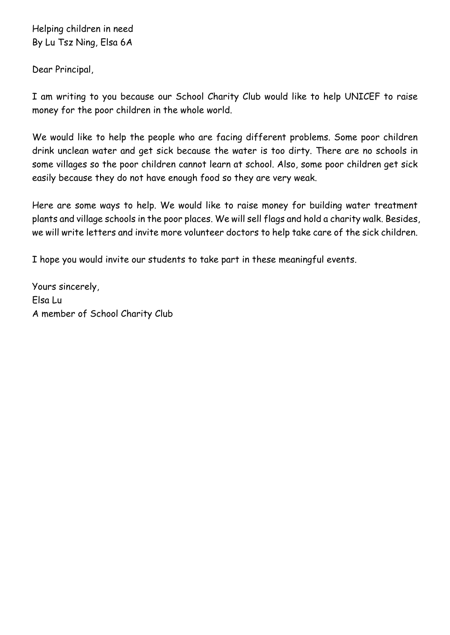Helping children in need By Lu Tsz Ning, Elsa 6A

Dear Principal,

I am writing to you because our School Charity Club would like to help UNICEF to raise money for the poor children in the whole world.

We would like to help the people who are facing different problems. Some poor children drink unclean water and get sick because the water is too dirty. There are no schools in some villages so the poor children cannot learn at school. Also, some poor children get sick easily because they do not have enough food so they are very weak.

Here are some ways to help. We would like to raise money for building water treatment plants and village schools in the poor places. We will sell flags and hold a charity walk. Besides, we will write letters and invite more volunteer doctors to help take care of the sick children.

I hope you would invite our students to take part in these meaningful events.

Yours sincerely, Elsa Lu A member of School Charity Club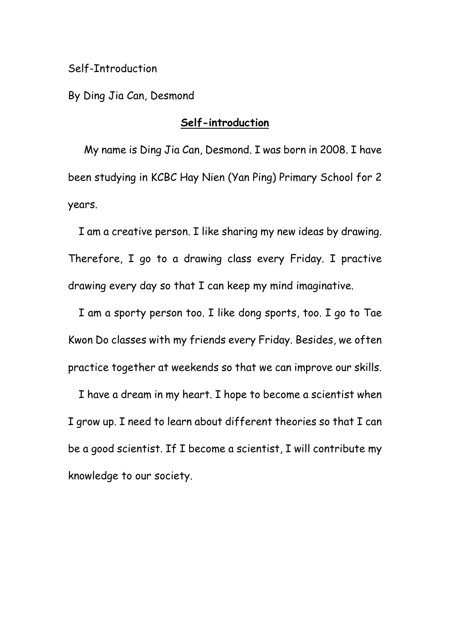## Self-Introduction

By Ding Jia Can, Desmond

# **Self-introduction**

 My name is Ding Jia Can, Desmond. I was born in 2008. I have been studying in KCBC Hay Nien (Yan Ping) Primary School for 2 years.

 I am a creative person. I like sharing my new ideas by drawing. Therefore, I go to a drawing class every Friday. I practive drawing every day so that I can keep my mind imaginative.

 I am a sporty person too. I like dong sports, too. I go to Tae Kwon Do classes with my friends every Friday. Besides, we often practice together at weekends so that we can improve our skills.

 I have a dream in my heart. I hope to become a scientist when I grow up. I need to learn about different theories so that I can be a good scientist. If I become a scientist, I will contribute my knowledge to our society.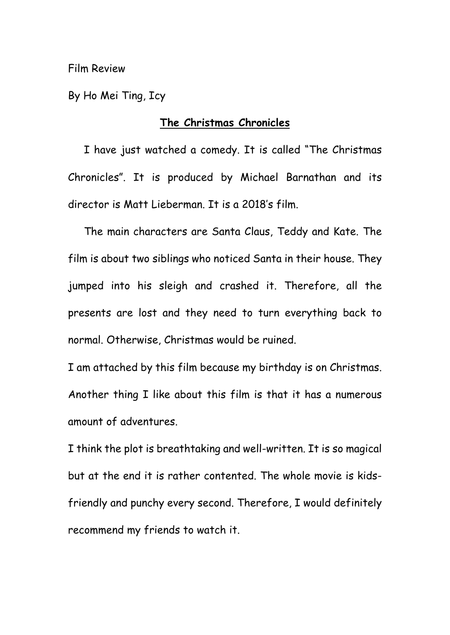By Ho Mei Ting, Icy

# **The Christmas Chronicles**

 I have just watched a comedy. It is called "The Christmas Chronicles". It is produced by Michael Barnathan and its director is Matt Lieberman. It is a 2018's film.

 The main characters are Santa Claus, Teddy and Kate. The film is about two siblings who noticed Santa in their house. They jumped into his sleigh and crashed it. Therefore, all the presents are lost and they need to turn everything back to normal. Otherwise, Christmas would be ruined.

I am attached by this film because my birthday is on Christmas. Another thing I like about this film is that it has a numerous amount of adventures.

I think the plot is breathtaking and well-written. It is so magical but at the end it is rather contented. The whole movie is kidsfriendly and punchy every second. Therefore, I would definitely recommend my friends to watch it.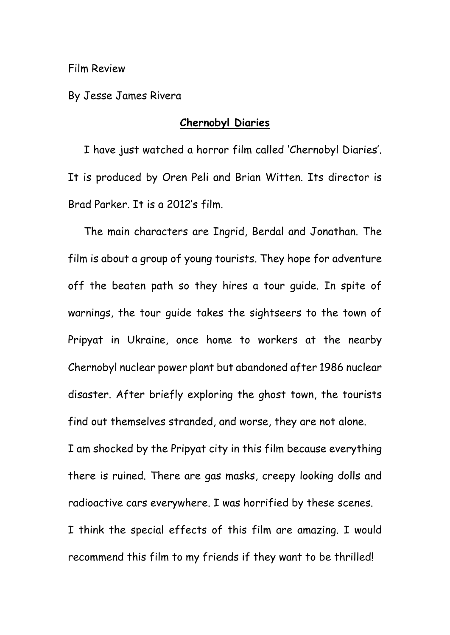By Jesse James Rivera

#### **Chernobyl Diaries**

 I have just watched a horror film called 'Chernobyl Diaries'. It is produced by Oren Peli and Brian Witten. Its director is Brad Parker. It is a 2012's film.

 The main characters are Ingrid, Berdal and Jonathan. The film is about a group of young tourists. They hope for adventure off the beaten path so they hires a tour guide. In spite of warnings, the tour guide takes the sightseers to the town of Pripyat in Ukraine, once home to workers at the nearby Chernobyl nuclear power plant but abandoned after 1986 nuclear disaster. After briefly exploring the ghost town, the tourists find out themselves stranded, and worse, they are not alone. I am shocked by the Pripyat city in this film because everything there is ruined. There are gas masks, creepy looking dolls and radioactive cars everywhere. I was horrified by these scenes. I think the special effects of this film are amazing. I would recommend this film to my friends if they want to be thrilled!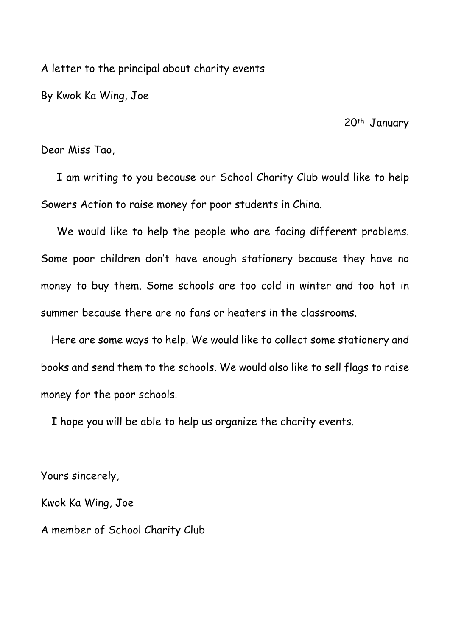A letter to the principal about charity events

By Kwok Ka Wing, Joe

20<sup>th</sup> January

Dear Miss Tao,

 I am writing to you because our School Charity Club would like to help Sowers Action to raise money for poor students in China.

 We would like to help the people who are facing different problems. Some poor children don't have enough stationery because they have no money to buy them. Some schools are too cold in winter and too hot in summer because there are no fans or heaters in the classrooms.

 Here are some ways to help. We would like to collect some stationery and books and send them to the schools. We would also like to sell flags to raise money for the poor schools.

I hope you will be able to help us organize the charity events.

Yours sincerely, Kwok Ka Wing, Joe A member of School Charity Club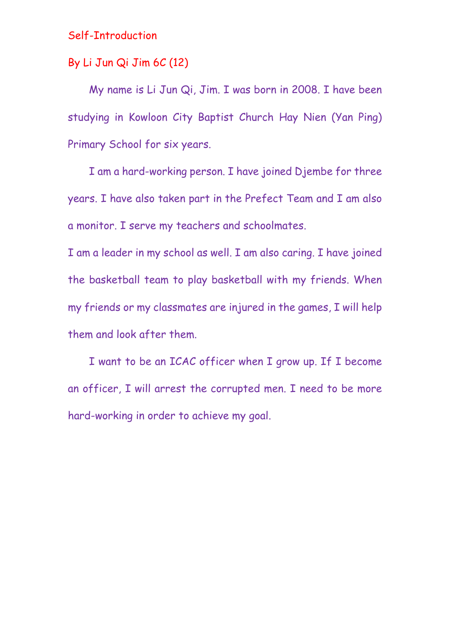# Self-Introduction

# By Li Jun Qi Jim 6C (12)

My name is Li Jun Qi, Jim. I was born in 2008. I have been studying in Kowloon City Baptist Church Hay Nien (Yan Ping) Primary School for six years.

I am a hard-working person. I have joined Djembe for three years. I have also taken part in the Prefect Team and I am also a monitor. I serve my teachers and schoolmates.

I am a leader in my school as well. I am also caring. I have joined the basketball team to play basketball with my friends. When my friends or my classmates are injured in the games, I will help them and look after them.

I want to be an ICAC officer when I grow up. If I become an officer, I will arrest the corrupted men. I need to be more hard-working in order to achieve my goal.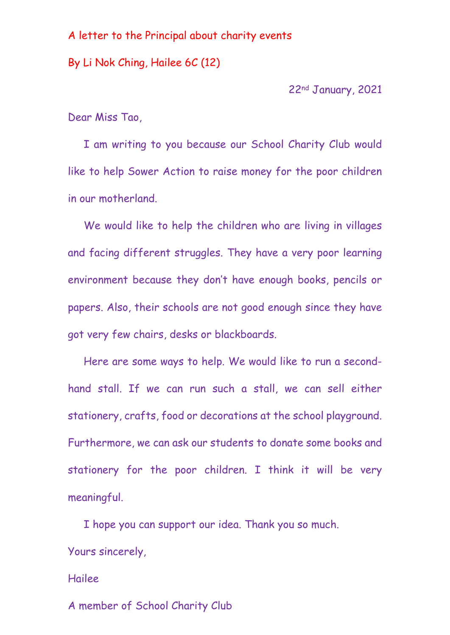## A letter to the Principal about charity events

By Li Nok Ching, Hailee 6C (12)

22nd January, 2021

Dear Miss Tao,

 I am writing to you because our School Charity Club would like to help Sower Action to raise money for the poor children in our motherland.

We would like to help the children who are living in villages and facing different struggles. They have a very poor learning environment because they don't have enough books, pencils or papers. Also, their schools are not good enough since they have got very few chairs, desks or blackboards.

Here are some ways to help. We would like to run a secondhand stall. If we can run such a stall, we can sell either stationery, crafts, food or decorations at the school playground. Furthermore, we can ask our students to donate some books and stationery for the poor children. I think it will be very meaningful.

I hope you can support our idea. Thank you so much. Yours sincerely,

# Hailee

A member of School Charity Club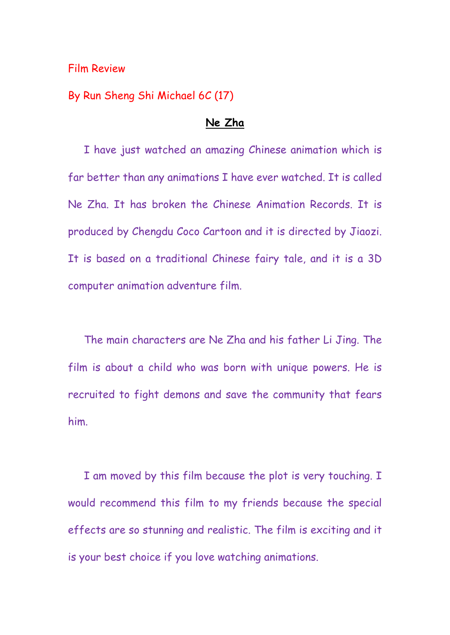By Run Sheng Shi Michael 6C (17)

#### **Ne Zha**

 I have just watched an amazing Chinese animation which is far better than any animations I have ever watched. It is called Ne Zha. It has broken the Chinese Animation Records. It is produced by Chengdu Coco Cartoon and it is directed by Jiaozi. It is based on a traditional Chinese fairy tale, and it is a 3D computer animation adventure film.

 The main characters are Ne Zha and his father Li Jing. The film is about a child who was born with unique powers. He is recruited to fight demons and save the community that fears him.

 I am moved by this film because the plot is very touching. I would recommend this film to my friends because the special effects are so stunning and realistic. The film is exciting and it is your best choice if you love watching animations.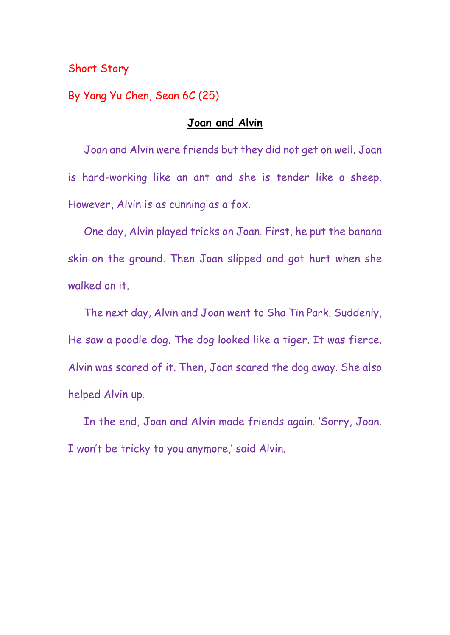# Short Story

By Yang Yu Chen, Sean 6C (25)

# **Joan and Alvin**

 Joan and Alvin were friends but they did not get on well. Joan is hard-working like an ant and she is tender like a sheep. However, Alvin is as cunning as a fox.

 One day, Alvin played tricks on Joan. First, he put the banana skin on the ground. Then Joan slipped and got hurt when she walked on it.

 The next day, Alvin and Joan went to Sha Tin Park. Suddenly, He saw a poodle dog. The dog looked like a tiger. It was fierce. Alvin was scared of it. Then, Joan scared the dog away. She also helped Alvin up.

 In the end, Joan and Alvin made friends again. 'Sorry, Joan. I won't be tricky to you anymore,' said Alvin.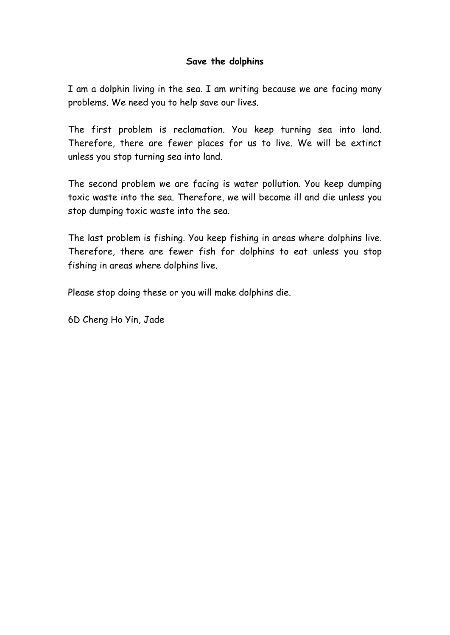## **Save the dolphins**

I am a dolphin living in the sea. I am writing because we are facing many problems. We need you to help save our lives.

The first problem is reclamation. You keep turning sea into land. Therefore, there are fewer places for us to live. We will be extinct unless you stop turning sea into land.

The second problem we are facing is water pollution. You keep dumping toxic waste into the sea. Therefore, we will become ill and die unless you stop dumping toxic waste into the sea.

The last problem is fishing. You keep fishing in areas where dolphins live. Therefore, there are fewer fish for dolphins to eat unless you stop fishing in areas where dolphins live.

Please stop doing these or you will make dolphins die.

6D Cheng Ho Yin, Jade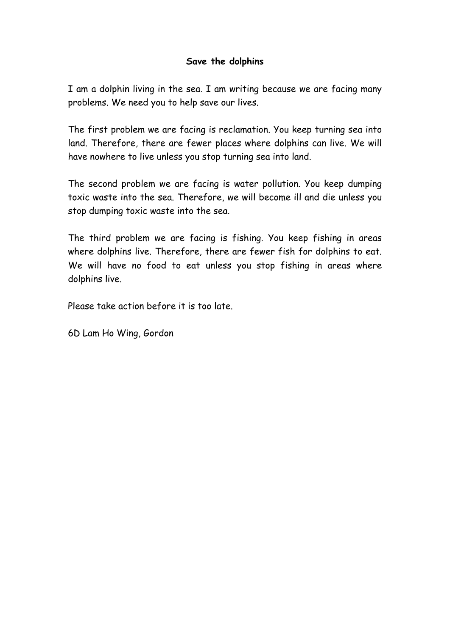## **Save the dolphins**

I am a dolphin living in the sea. I am writing because we are facing many problems. We need you to help save our lives.

The first problem we are facing is reclamation. You keep turning sea into land. Therefore, there are fewer places where dolphins can live. We will have nowhere to live unless you stop turning sea into land.

The second problem we are facing is water pollution. You keep dumping toxic waste into the sea. Therefore, we will become ill and die unless you stop dumping toxic waste into the sea.

The third problem we are facing is fishing. You keep fishing in areas where dolphins live. Therefore, there are fewer fish for dolphins to eat. We will have no food to eat unless you stop fishing in areas where dolphins live.

Please take action before it is too late.

6D Lam Ho Wing, Gordon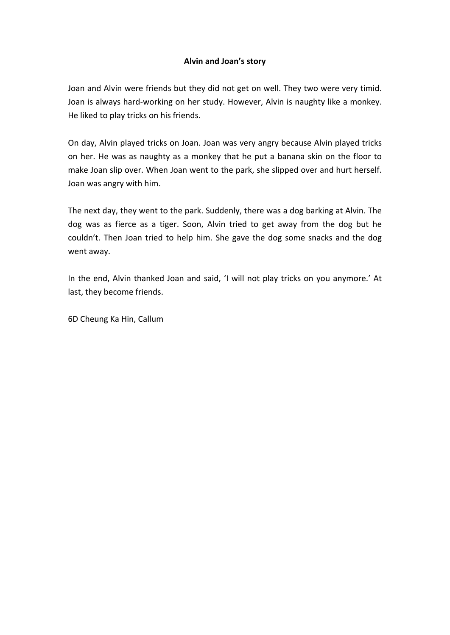#### **Alvin and Joan's story**

Joan and Alvin were friends but they did not get on well. They two were very timid. Joan is always hard-working on her study. However, Alvin is naughty like a monkey. He liked to play tricks on his friends.

On day, Alvin played tricks on Joan. Joan was very angry because Alvin played tricks on her. He was as naughty as a monkey that he put a banana skin on the floor to make Joan slip over. When Joan went to the park, she slipped over and hurt herself. Joan was angry with him.

The next day, they went to the park. Suddenly, there was a dog barking at Alvin. The dog was as fierce as a tiger. Soon, Alvin tried to get away from the dog but he couldn't. Then Joan tried to help him. She gave the dog some snacks and the dog went away.

In the end, Alvin thanked Joan and said, 'I will not play tricks on you anymore.' At last, they become friends.

6D Cheung Ka Hin, Callum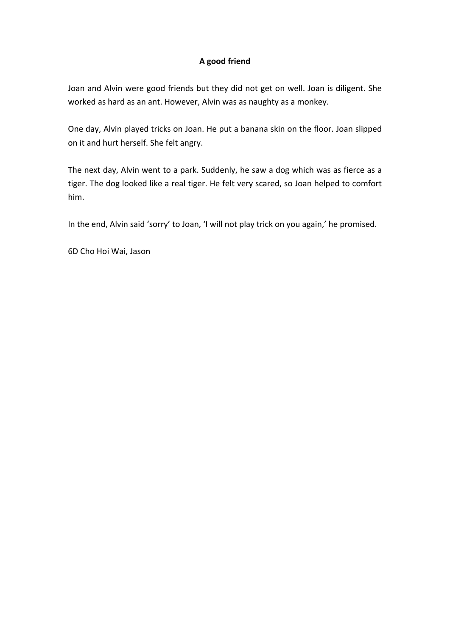#### **A good friend**

Joan and Alvin were good friends but they did not get on well. Joan is diligent. She worked as hard as an ant. However, Alvin was as naughty as a monkey.

One day, Alvin played tricks on Joan. He put a banana skin on the floor. Joan slipped on it and hurt herself. She felt angry.

The next day, Alvin went to a park. Suddenly, he saw a dog which was as fierce as a tiger. The dog looked like a real tiger. He felt very scared, so Joan helped to comfort him.

In the end, Alvin said 'sorry' to Joan, 'I will not play trick on you again,' he promised.

6D Cho Hoi Wai, Jason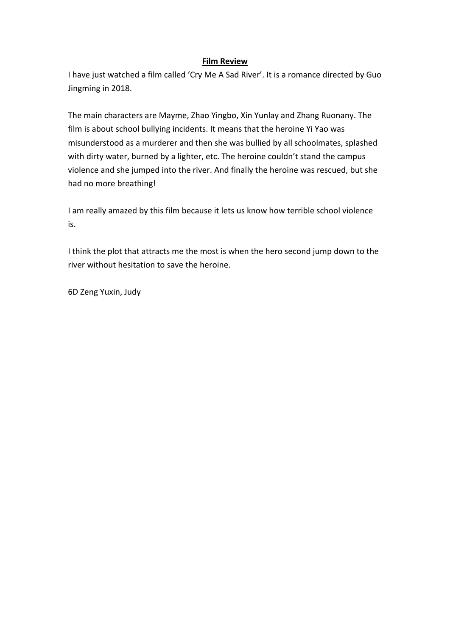I have just watched a film called 'Cry Me A Sad River'. It is a romance directed by Guo Jingming in 2018.

The main characters are Mayme, Zhao Yingbo, Xin Yunlay and Zhang Ruonany. The film is about school bullying incidents. It means that the heroine Yi Yao was misunderstood as a murderer and then she was bullied by all schoolmates, splashed with dirty water, burned by a lighter, etc. The heroine couldn't stand the campus violence and she jumped into the river. And finally the heroine was rescued, but she had no more breathing!

I am really amazed by this film because it lets us know how terrible school violence is.

I think the plot that attracts me the most is when the hero second jump down to the river without hesitation to save the heroine.

6D Zeng Yuxin, Judy